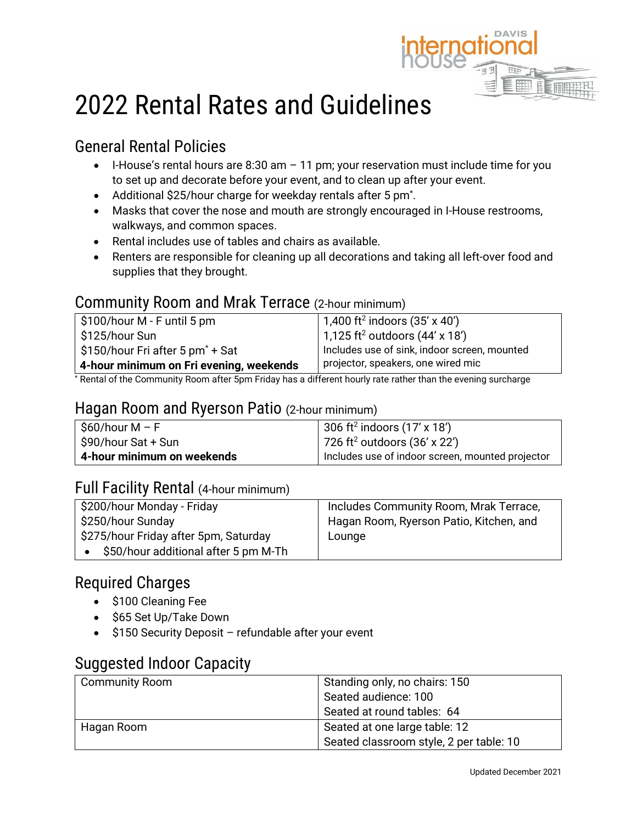

# 2022 Rental Rates and Guidelines

## General Rental Policies

- $\bullet$  I-House's rental hours are 8:30 am  $-$  11 pm; your reservation must include time for you to set up and decorate before your event, and to clean up after your event.
- Additional \$25/hour charge for weekday rentals after 5 pm<sup>\*</sup>.
- Masks that cover the nose and mouth are strongly encouraged in I-House restrooms, walkways, and common spaces.
- Rental includes use of tables and chairs as available.
- Renters are responsible for cleaning up all decorations and taking all left-over food and supplies that they brought.

### Community Room and Mrak Terrace (2-hour minimum)

| $\frac{1}{2}$ \$100/hour M - F until 5 pm | 1,400 ft <sup>2</sup> indoors $(35' \times 40')$  |
|-------------------------------------------|---------------------------------------------------|
| S125/hour Sun                             | 1,125 ft <sup>2</sup> outdoors $(44' \times 18')$ |
| \$150/hour Fri after 5 pm $^*$ + Sat      | Includes use of sink, indoor screen, mounted      |
| 4-hour minimum on Fri evening, weekends   | projector, speakers, one wired mic                |

\* Rental of the Community Room after 5pm Friday has a different hourly rate rather than the evening surcharge

#### Hagan Room and Ryerson Patio (2-hour minimum)

| │ \$60/hour M – F          | 306 ft <sup>2</sup> indoors $(17' \times 18')$   |
|----------------------------|--------------------------------------------------|
| S90/hour Sat + Sun         | 726 ft <sup>2</sup> outdoors $(36' \times 22')$  |
| 4-hour minimum on weekends | Includes use of indoor screen, mounted projector |

### Full Facility Rental (4-hour minimum)

| \$200/hour Monday - Friday            | Includes Community Room, Mrak Terrace,  |
|---------------------------------------|-----------------------------------------|
| \$250/hour Sunday                     | Hagan Room, Ryerson Patio, Kitchen, and |
| \$275/hour Friday after 5pm, Saturday | Lounge                                  |
| \$50/hour additional after 5 pm M-Th  |                                         |

### Required Charges

- \$100 Cleaning Fee
- \$65 Set Up/Take Down
- \$150 Security Deposit refundable after your event

### Suggested Indoor Capacity

| <b>Community Room</b> | Standing only, no chairs: 150           |  |
|-----------------------|-----------------------------------------|--|
|                       | Seated audience: 100                    |  |
|                       | Seated at round tables: 64              |  |
| Hagan Room            | Seated at one large table: 12           |  |
|                       | Seated classroom style, 2 per table: 10 |  |